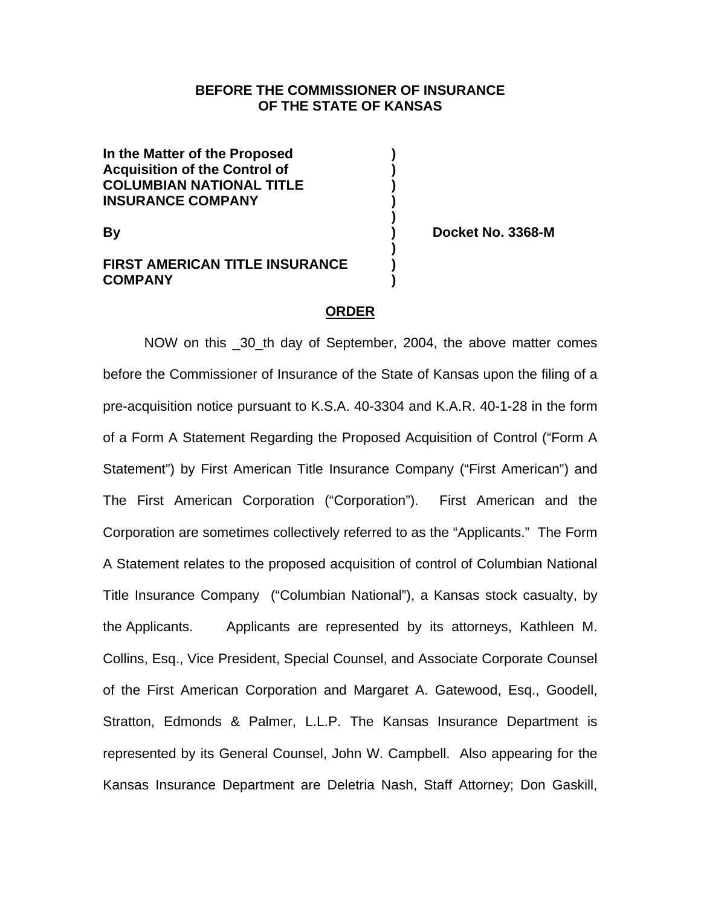## **BEFORE THE COMMISSIONER OF INSURANCE OF THE STATE OF KANSAS**

**In the Matter of the Proposed ) Acquisition of the Control of ) COLUMBIAN NATIONAL TITLE ) INSURANCE COMPANY )** 

# **FIRST AMERICAN TITLE INSURANCE ) COMPANY )**

 **)** 

 **)** 

**By ) Docket No. 3368-M** 

# **ORDER**

 NOW on this \_30\_th day of September, 2004, the above matter comes before the Commissioner of Insurance of the State of Kansas upon the filing of a pre-acquisition notice pursuant to K.S.A. 40-3304 and K.A.R. 40-1-28 in the form of a Form A Statement Regarding the Proposed Acquisition of Control ("Form A Statement") by First American Title Insurance Company ("First American") and The First American Corporation ("Corporation"). First American and the Corporation are sometimes collectively referred to as the "Applicants." The Form A Statement relates to the proposed acquisition of control of Columbian National Title Insurance Company ("Columbian National"), a Kansas stock casualty, by the Applicants. Applicants are represented by its attorneys, Kathleen M. Collins, Esq., Vice President, Special Counsel, and Associate Corporate Counsel of the First American Corporation and Margaret A. Gatewood, Esq., Goodell, Stratton, Edmonds & Palmer, L.L.P. The Kansas Insurance Department is represented by its General Counsel, John W. Campbell. Also appearing for the Kansas Insurance Department are Deletria Nash, Staff Attorney; Don Gaskill,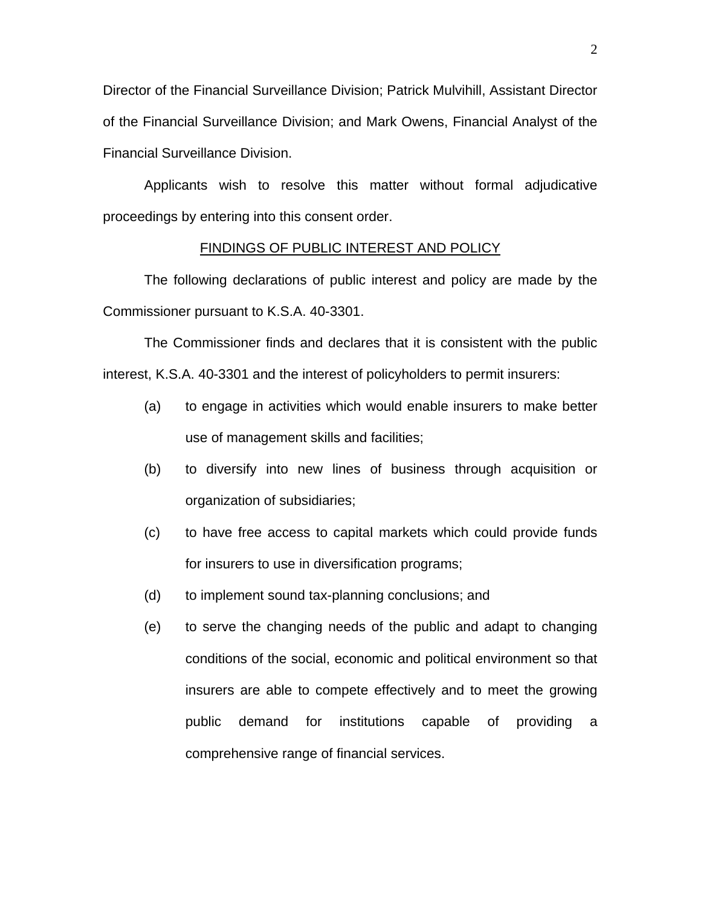Director of the Financial Surveillance Division; Patrick Mulvihill, Assistant Director of the Financial Surveillance Division; and Mark Owens, Financial Analyst of the Financial Surveillance Division.

Applicants wish to resolve this matter without formal adjudicative proceedings by entering into this consent order.

#### FINDINGS OF PUBLIC INTEREST AND POLICY

 The following declarations of public interest and policy are made by the Commissioner pursuant to K.S.A. 40-3301.

 The Commissioner finds and declares that it is consistent with the public interest, K.S.A. 40-3301 and the interest of policyholders to permit insurers:

- (a) to engage in activities which would enable insurers to make better use of management skills and facilities;
- (b) to diversify into new lines of business through acquisition or organization of subsidiaries;
- (c) to have free access to capital markets which could provide funds for insurers to use in diversification programs;
- (d) to implement sound tax-planning conclusions; and
- (e) to serve the changing needs of the public and adapt to changing conditions of the social, economic and political environment so that insurers are able to compete effectively and to meet the growing public demand for institutions capable of providing a comprehensive range of financial services.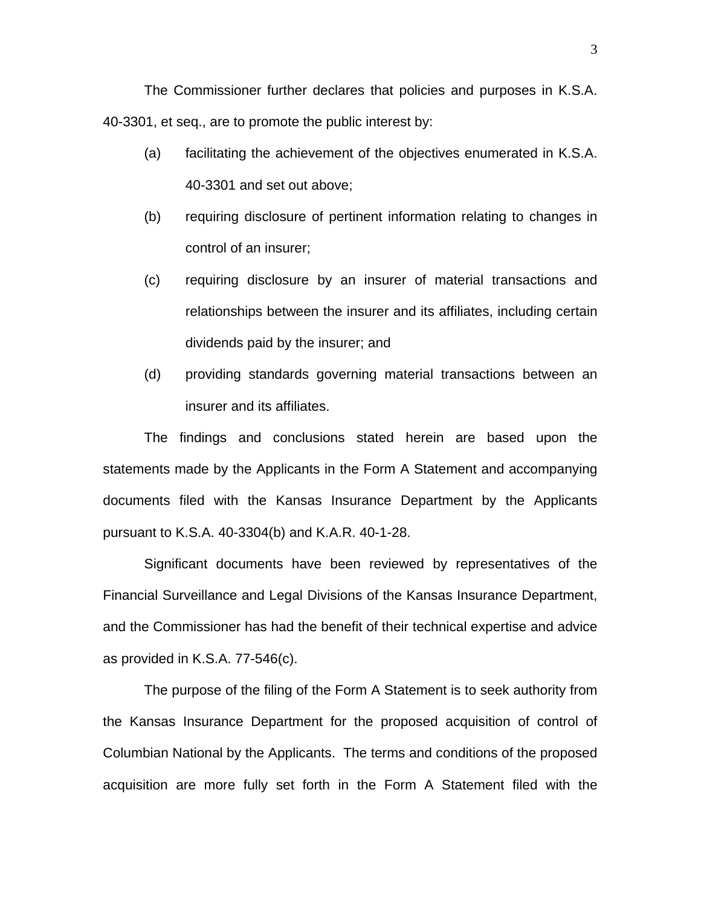The Commissioner further declares that policies and purposes in K.S.A. 40-3301, et seq., are to promote the public interest by:

- (a) facilitating the achievement of the objectives enumerated in K.S.A. 40-3301 and set out above;
- (b) requiring disclosure of pertinent information relating to changes in control of an insurer;
- (c) requiring disclosure by an insurer of material transactions and relationships between the insurer and its affiliates, including certain dividends paid by the insurer; and
- (d) providing standards governing material transactions between an insurer and its affiliates.

The findings and conclusions stated herein are based upon the statements made by the Applicants in the Form A Statement and accompanying documents filed with the Kansas Insurance Department by the Applicants pursuant to K.S.A. 40-3304(b) and K.A.R. 40-1-28.

Significant documents have been reviewed by representatives of the Financial Surveillance and Legal Divisions of the Kansas Insurance Department, and the Commissioner has had the benefit of their technical expertise and advice as provided in K.S.A. 77-546(c).

The purpose of the filing of the Form A Statement is to seek authority from the Kansas Insurance Department for the proposed acquisition of control of Columbian National by the Applicants. The terms and conditions of the proposed acquisition are more fully set forth in the Form A Statement filed with the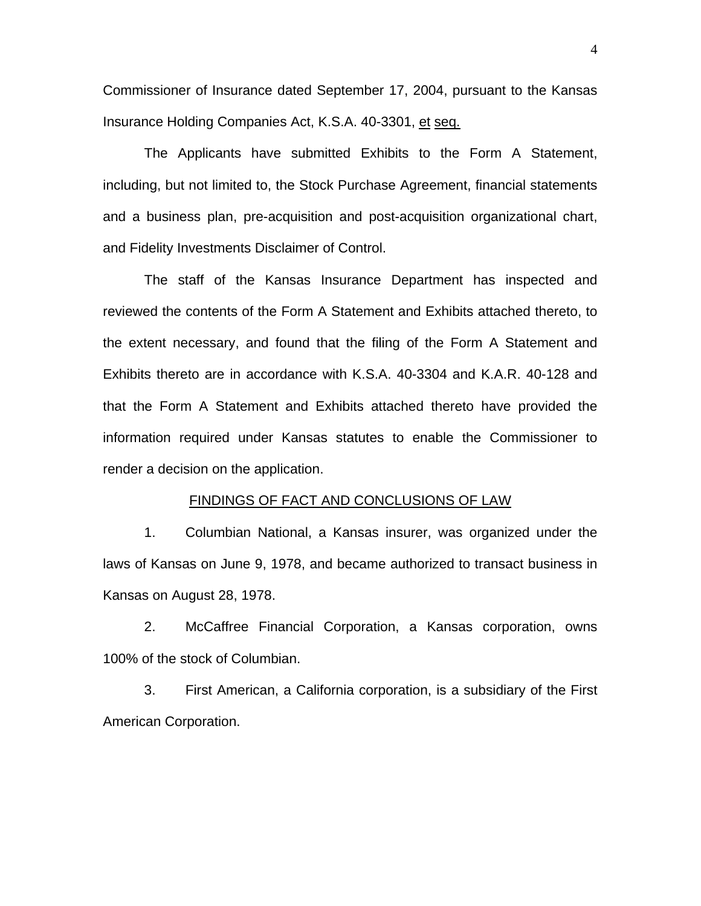Commissioner of Insurance dated September 17, 2004, pursuant to the Kansas Insurance Holding Companies Act, K.S.A. 40-3301, et seq.

The Applicants have submitted Exhibits to the Form A Statement, including, but not limited to, the Stock Purchase Agreement, financial statements and a business plan, pre-acquisition and post-acquisition organizational chart, and Fidelity Investments Disclaimer of Control.

 The staff of the Kansas Insurance Department has inspected and reviewed the contents of the Form A Statement and Exhibits attached thereto, to the extent necessary, and found that the filing of the Form A Statement and Exhibits thereto are in accordance with K.S.A. 40-3304 and K.A.R. 40-128 and that the Form A Statement and Exhibits attached thereto have provided the information required under Kansas statutes to enable the Commissioner to render a decision on the application.

#### FINDINGS OF FACT AND CONCLUSIONS OF LAW

1. Columbian National, a Kansas insurer, was organized under the laws of Kansas on June 9, 1978, and became authorized to transact business in Kansas on August 28, 1978.

2. McCaffree Financial Corporation, a Kansas corporation, owns 100% of the stock of Columbian.

3. First American, a California corporation, is a subsidiary of the First American Corporation.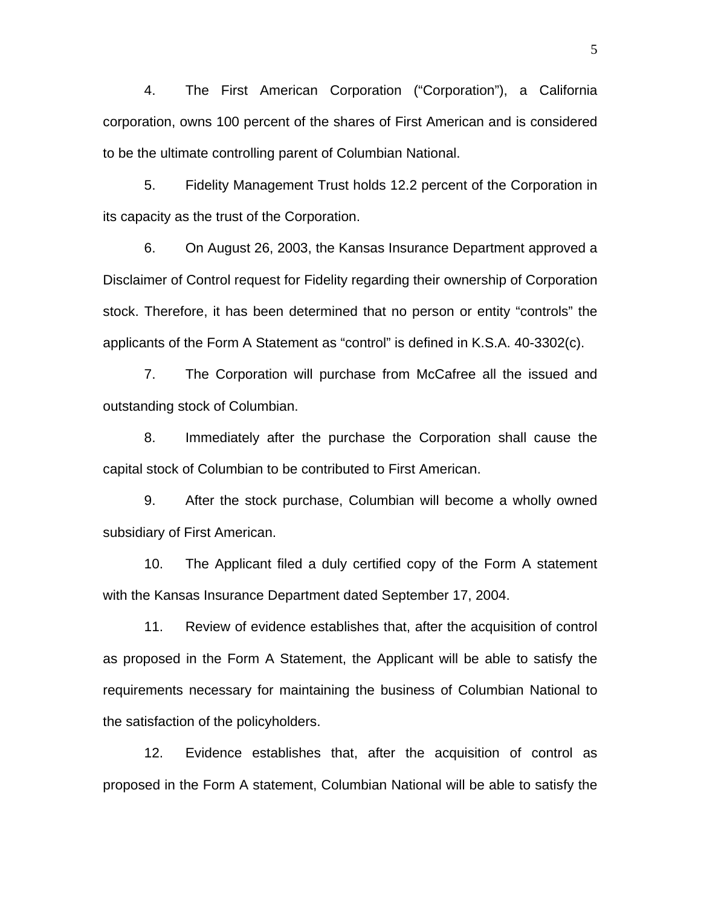4. The First American Corporation ("Corporation"), a California corporation, owns 100 percent of the shares of First American and is considered to be the ultimate controlling parent of Columbian National.

5. Fidelity Management Trust holds 12.2 percent of the Corporation in its capacity as the trust of the Corporation.

6. On August 26, 2003, the Kansas Insurance Department approved a Disclaimer of Control request for Fidelity regarding their ownership of Corporation stock. Therefore, it has been determined that no person or entity "controls" the applicants of the Form A Statement as "control" is defined in K.S.A. 40-3302(c).

7. The Corporation will purchase from McCafree all the issued and outstanding stock of Columbian.

8. Immediately after the purchase the Corporation shall cause the capital stock of Columbian to be contributed to First American.

9. After the stock purchase, Columbian will become a wholly owned subsidiary of First American.

10. The Applicant filed a duly certified copy of the Form A statement with the Kansas Insurance Department dated September 17, 2004.

11. Review of evidence establishes that, after the acquisition of control as proposed in the Form A Statement, the Applicant will be able to satisfy the requirements necessary for maintaining the business of Columbian National to the satisfaction of the policyholders.

12. Evidence establishes that, after the acquisition of control as proposed in the Form A statement, Columbian National will be able to satisfy the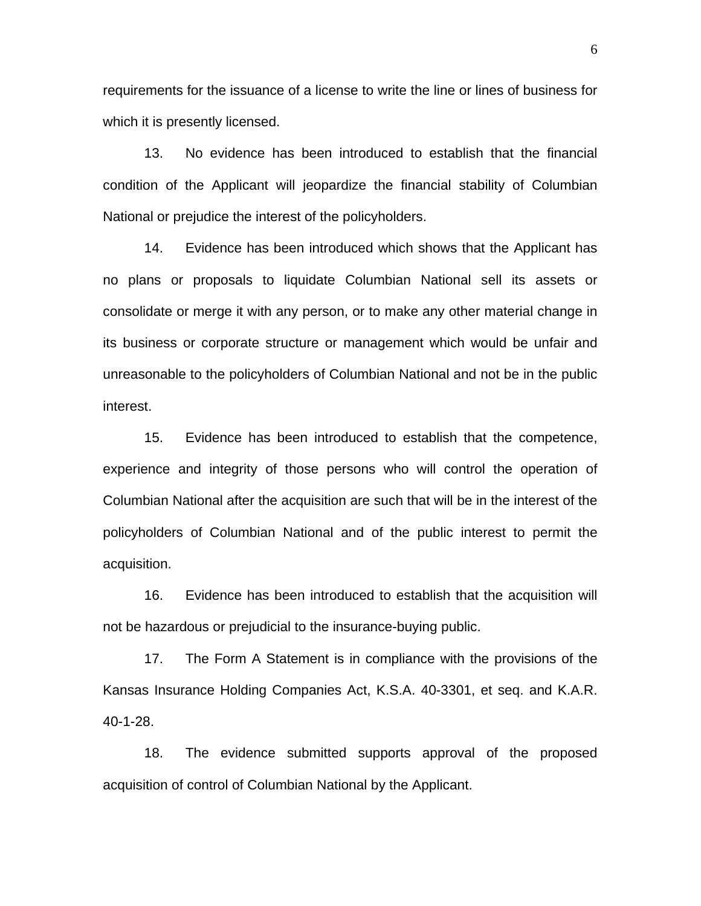requirements for the issuance of a license to write the line or lines of business for which it is presently licensed.

13. No evidence has been introduced to establish that the financial condition of the Applicant will jeopardize the financial stability of Columbian National or prejudice the interest of the policyholders.

14. Evidence has been introduced which shows that the Applicant has no plans or proposals to liquidate Columbian National sell its assets or consolidate or merge it with any person, or to make any other material change in its business or corporate structure or management which would be unfair and unreasonable to the policyholders of Columbian National and not be in the public interest.

15. Evidence has been introduced to establish that the competence, experience and integrity of those persons who will control the operation of Columbian National after the acquisition are such that will be in the interest of the policyholders of Columbian National and of the public interest to permit the acquisition.

16. Evidence has been introduced to establish that the acquisition will not be hazardous or prejudicial to the insurance-buying public.

17. The Form A Statement is in compliance with the provisions of the Kansas Insurance Holding Companies Act, K.S.A. 40-3301, et seq. and K.A.R. 40-1-28.

18. The evidence submitted supports approval of the proposed acquisition of control of Columbian National by the Applicant.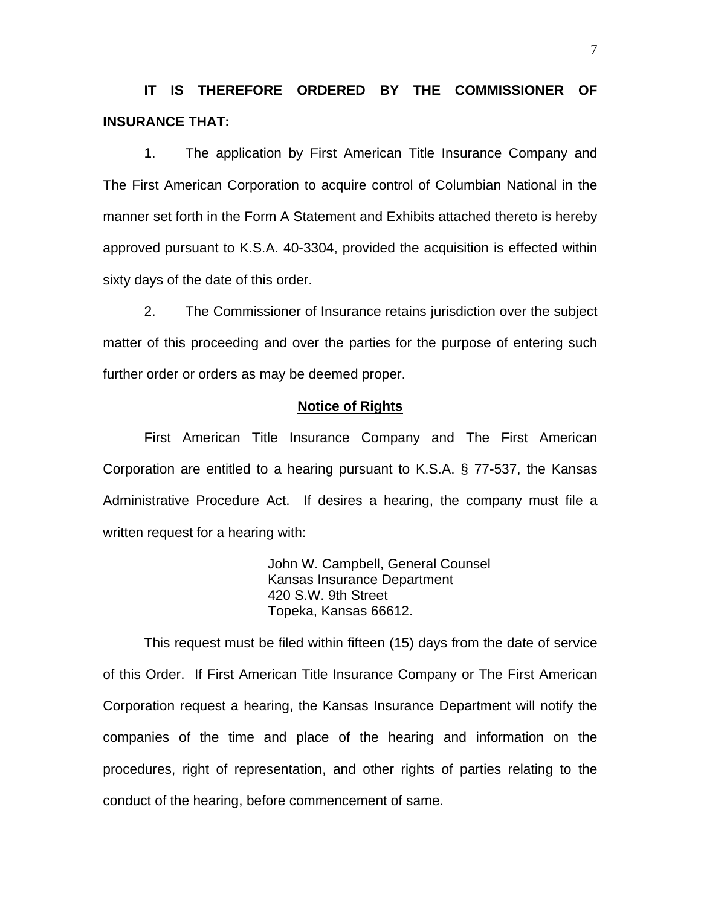**IT IS THEREFORE ORDERED BY THE COMMISSIONER OF INSURANCE THAT:** 

1. The application by First American Title Insurance Company and The First American Corporation to acquire control of Columbian National in the manner set forth in the Form A Statement and Exhibits attached thereto is hereby approved pursuant to K.S.A. 40-3304, provided the acquisition is effected within sixty days of the date of this order.

2. The Commissioner of Insurance retains jurisdiction over the subject matter of this proceeding and over the parties for the purpose of entering such further order or orders as may be deemed proper.

### **Notice of Rights**

 First American Title Insurance Company and The First American Corporation are entitled to a hearing pursuant to K.S.A. § 77-537, the Kansas Administrative Procedure Act. If desires a hearing, the company must file a written request for a hearing with:

> John W. Campbell, General Counsel Kansas Insurance Department 420 S.W. 9th Street Topeka, Kansas 66612.

 This request must be filed within fifteen (15) days from the date of service of this Order. If First American Title Insurance Company or The First American Corporation request a hearing, the Kansas Insurance Department will notify the companies of the time and place of the hearing and information on the procedures, right of representation, and other rights of parties relating to the conduct of the hearing, before commencement of same.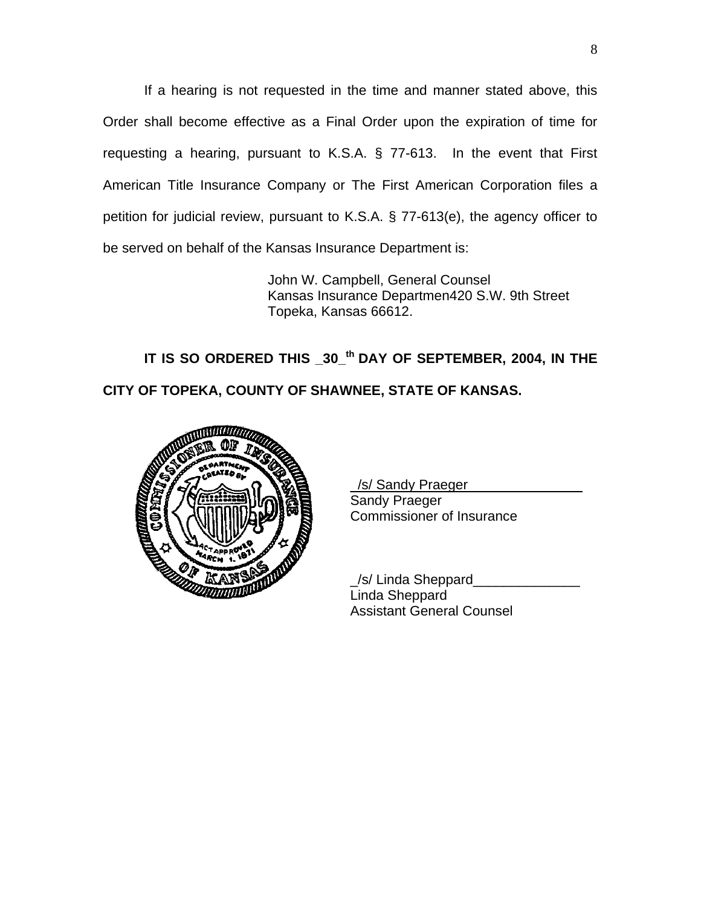If a hearing is not requested in the time and manner stated above, this Order shall become effective as a Final Order upon the expiration of time for requesting a hearing, pursuant to K.S.A. § 77-613. In the event that First American Title Insurance Company or The First American Corporation files a petition for judicial review, pursuant to K.S.A. § 77-613(e), the agency officer to be served on behalf of the Kansas Insurance Department is:

> John W. Campbell, General Counsel Kansas Insurance Departmen420 S.W. 9th Street Topeka, Kansas 66612.

IT IS SO ORDERED THIS \_30\_<sup>th</sup> DAY OF SEPTEMBER, 2004, IN THE **CITY OF TOPEKA, COUNTY OF SHAWNEE, STATE OF KANSAS.** 



**/s/ Sandy Praeger** Sandy Praeger Commissioner of Insurance

 \_/s/ Linda Sheppard\_\_\_\_\_\_\_\_\_\_\_\_\_\_ Linda Sheppard Assistant General Counsel